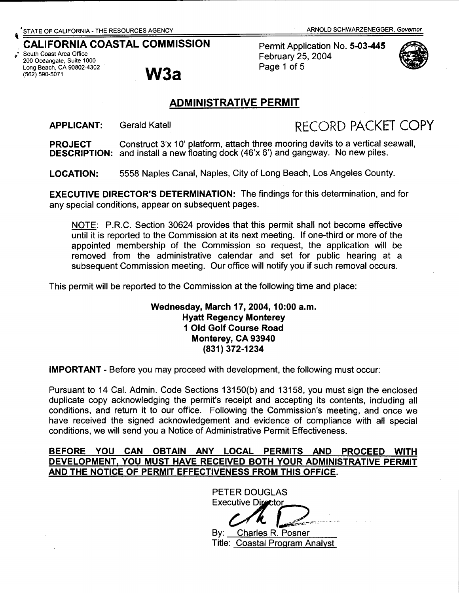# **CALIFORNIA**

 $\vec{r}$  South Coast Area Office 200 Oceangate, Suite 1000 Long Beach, CA 90802-4302 (562) 590-5071

# **W3a**

THE RESOURCES AGENCY ARNOLD SCHWARZENEGGER, Governor ARNOLD SCHWARZENEGGER, Governor **COASTAL COMMISSION** February 25, 2004 Page 1 of 5



# **ADMINISTRATIVE PERMIT**

**APPLICANT:** 

Gerald Katell **RECORD PACKET COPY** 

**PROJECT** Construct 3'x 10' platform, attach three mooring davits to a vertical seawall, **DESCRIPTION:** and install a new floating dock (46'x 6') and gangway. No new piles.

**LOCATION:** 5558 Naples Canal, Naples, City of Long Beach, Los Angeles County.

**EXECUTIVE DIRECTOR'S DETERMINATION:** The findings for this determination, and for any special conditions, appear on subsequent pages.

NOTE: P.R.C. Section 30624 provides that this permit shall not become effective until it is reported to the Commission at its next meeting. If one-third or more of the appointed membership of the Commission so request, the application will be removed from the administrative calendar and set for public hearing at a subsequent Commission meeting. Our office will notify you if such removal occurs.

This permit will be reported to the Commission at the following time and place:

#### **Wednesday, March 17,2004, 10:00 a.m. Hyatt Regency Monterey 1 Old Golf Course Road Monterey, CA 93940 (831) 372-1234**

**IMPORTANT** - Before you may proceed with development, the following must occur:

Pursuant to 14 Cal. Admin. Code Sections 13150(b) and 13158, you must sign the enclosed duplicate copy acknowledging the permit's receipt and accepting its contents, including all conditions, and return it to our office. Following the Commission's meeting, and once we have received the signed acknowledgement and evidence of compliance with all special conditions, we will send you a Notice of Administrative Permit Effectiveness.

#### **BEFORE YOU CAN OBTAIN ANY LOCAL PERMITS AND PROCEED WITH DEVELOPMENT, YOU MUST HAVE RECEIVED BOTH YOUR ADMINISTRATIVE PERMIT AND THE NOTICE OF PERMIT EFFECTIVENESS FROM THIS OFFICE.**

PETER DOUGLAS **Executive Director**  $CH12-$ By: Charles R. Posner Title: Coastal Program Analyst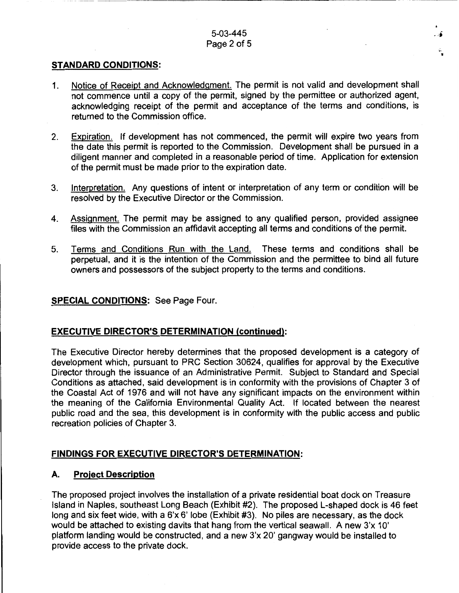#### 5-03-445 Page 2 of 5

,, w

#### **STANDARD CONDITIONS:**

- 1. Notice of Receipt and Acknowledgment. The permit is not valid and development shall not commence until a copy of the permit, signed by the permittee or authorized agent, acknowledging receipt of the permit and acceptance of the terms and conditions, is returned to the Commission office.
- 2. Expiration. If development has not commenced, the permit will expire two years from the date this permit is reported to the Commission. Development shall be pursued in a diligent manner and completed in a reasonable period of time. Application for extension of the permit must be made prior to the expiration date.
- 3. Interpretation. Any questions of intent or interpretation of any term or condition will be resolved by the Executive Director or the Commission.
- 4. Assignment. The permit may be assigned to any qualified person, provided assignee files with the Commission an affidavit accepting all terms and conditions of the permit.
- 5. Terms and Conditions Run with the Land. These terms and conditions shall be perpetual, and it is the intention of the Commission and the permittee to bind all future owners and possessors of the subject property to the terms and conditions.

#### **SPECIAL CONDITIONS:** See Page Four.

#### **EXECUTIVE DIRECTOR'S DETERMINATION (continued):**

The Executive Director hereby determines that the proposed development is a category of development which, pursuant to PRC Section 30624, qualifies for approval by the Executive Director through the issuance of an Administrative Permit. Subject to Standard and Special Conditions as attached, said development is in conformity with the provisions of Chapter 3 of the Coastal Act of 1976 and will not have any significant impacts on the environment within the meaning of the California Environmental Quality Act. If located between the nearest public road and the sea, this development is in conformity with the public access and public recreation policies of Chapter 3.

#### **FINDINGS FOR EXECUTIVE DIRECTOR'S DETERMINATION:**

#### **A. Project Description**

The proposed project involves the installation of a private residential boat dock on Treasure Island in Naples, southeast Long Beach (Exhibit #2). The proposed L-shaped dock is 46 feet long and six feet wide, with a 6'x 6' lobe (Exhibit #3). No piles are necessary, as the dock would be attached to existing davits that hang from the vertical seawall. A new 3'x 10' platform landing would be constructed, and a new 3'x 20' gangway would be installed to provide access to the private dock.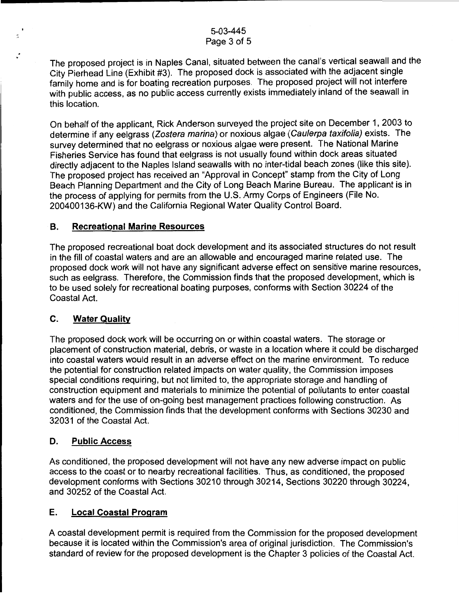The proposed project is in Naples Canal, situated between the canal's vertical seawall and the City Pierhead Line (Exhibit #3). The proposed dock is associated with the adjacent single family home and is for boating recreation purposes. The proposed project will not interfere with public access, as no public access currently exists immediately inland of the seawall in this location.

On behalf of the applicant, Rick Anderson surveyed the project site on December 1, 2003 to determine if any eelgrass (Zostera marina) or noxious algae (Caulerpa taxifolia) exists. The survey determined that no eelgrass or noxious algae were present. The National Marine Fisheries Service has found that eelgrass is not usually found within dock areas situated directly adjacent to the Naples Island seawalls with no inter-tidal beach zones (like this site). The proposed project has received an "Approval in Concept" stamp from the City of Long Beach Planning Department and the City of Long Beach Marine Bureau. The applicant is in the process of applying for permits from the U.S. Army Corps of Engineers (File No. 200400136-KW) and the California Regional Water Quality Control Board.

#### **B. Recreational Marine Resources**

The proposed recreational boat dock development and its associated structures do not result in the fill of coastal waters and are an allowable and encouraged marine related use. The proposed dock work will not have any significant adverse effect on sensitive marine resources, such as eelgrass. Therefore, the Commission finds that the proposed development, which is to be used solely for recreational boating purposes, conforms with Section 30224 of the Coastal Act.

# **C. Water Quality**

The proposed dock work will be occurring on or within coastal waters. The storage or placement of construction material, debris, or waste in a location where it could be discharged into coastal waters would result in an adverse effect on the marine environment. To reduce the potential for construction related impacts on water quality, the Commission imposes special conditions requiring, but not limited to, the appropriate storage and handling of construction equipment and materials to minimize the potential of pollutants to enter coastal waters and for the use of on-going best management practices following construction. As conditioned, the Commission finds that the development conforms with Sections 30230 and 32031 of the Coastal Act.

# **D. Public Access**

As conditioned, the proposed development will not have any new adverse impact on public access to the coast or to nearby recreational facilities. Thus, as conditioned, the proposed development conforms with Sections 30210 through 30214, Sections 30220 through 30224, and 30252 of the Coastal Act.

# **E. Local Coastal Program**

A coastal development permit is required from the Commission for the proposed development because it is located within the Commission's area of original jurisdiction. The Commission's standard of review for the proposed development is the Chapter 3 policies of the Coastal Act.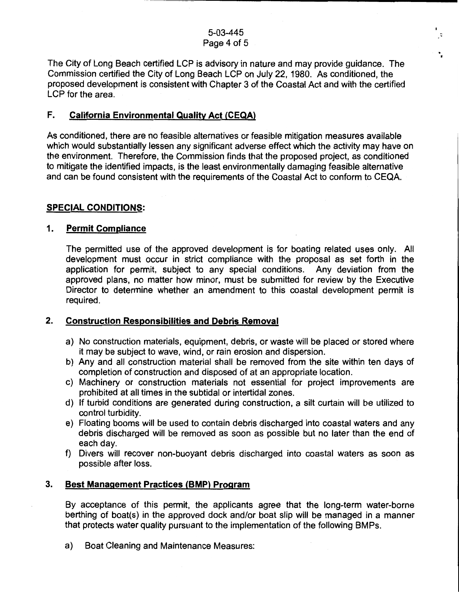. •

 $\vec{\zeta}$ 

The City of Long Beach certified LCP is advisory in nature and may provide guidance. The Commission certified the City of Long Beach LCP on July 22, 1980. As conditioned, the proposed development is consistent with Chapter 3 of the Coastal Act and with the certified LCP for the area.

#### **F. California Environmental Quality Act (CEQA)**

As conditioned, there are no feasible alternatives or feasible mitigation measures available which would substantially lessen any significant adverse effect which the activity may have on the environment. Therefore, the Commission finds that the proposed project, as conditioned to mitigate the identified impacts, is the least environmentally damaging feasible alternative and can be found consistent with the requirements of the Coastal Act to conform to CEQA.

#### **SPECIAL CONDITIONS:**

#### **1. Permit Compliance**

The permitted use of the approved development is for boating related uses only. All development must occur in strict compliance with the proposal as set forth in the application for permit, subject to any special conditions. Any deviation from the approved plans, no matter how minor, must be submitted for review by the Executive Director to determine whether an amendment to this coastal development permit is required.

# **2. Construction Responsibilities and Debris Removal**

- a) No construction materials, equipment, debris, or waste will be placed or stored where it may be subject to wave, wind, or rain erosion and dispersion.
- b) Any and all construction material shall be removed from the site within ten days of completion of construction and disposed of at an appropriate location.
- c) Machinery or construction materials not essential for project improvements are prohibited at all times in the subtidal or intertidal zones.
- d) If turbid conditions are generated during construction, a silt curtain will be utilized to control turbidity.
- e) Floating booms will be used to contain debris discharged into coastal waters and any debris discharged will be removed as soon as possible but no later than the end of each day.
- f) Divers will recover non-buoyant debris discharged into coastal waters as soon as possible after loss.

# **3. Best Management Practices (BMP) Program**

By acceptance of this permit, the applicants agree that the long-term water-borne berthing of boat(s) in the approved dock and/or boat slip will be managed in a manner that protects water quality pursuant to the implementation of the following BMPs.

a) Boat Cleaning and Maintenance Measures: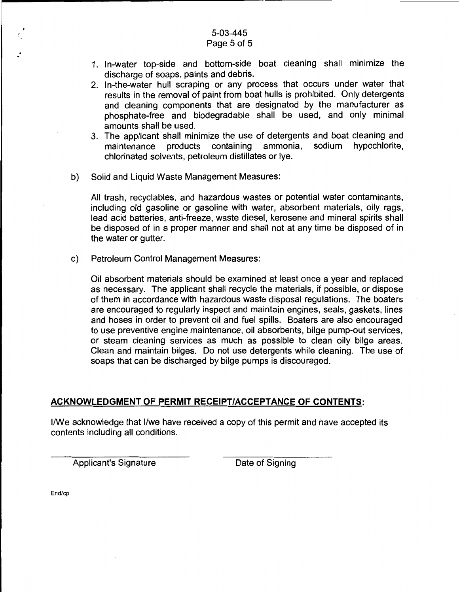#### 5-03-445 Page 5 of 5

- 1. In-water top-side and bottom-side boat cleaning shall minimize the discharge of soaps, paints and debris.
- 2. In-the-water hull scraping or any process that occurs under water that results in the removal of paint from boat hulls is prohibited. Only detergents and cleaning components that are designated by the manufacturer as phosphate-free and biodegradable shall be used, and only minimal amounts shall be used.
- 3. The applicant shall minimize the use of detergents and boat cleaning and maintenance products containing ammonia, sodium hypochlorite, chlorinated solvents, petroleum distillates or lye.
- b) Solid and Liquid Waste Management Measures:

All trash, recyclables, and hazardous wastes or potential water contaminants, including old gasoline or gasoline with water, absorbent materials, oily rags, lead acid batteries, anti-freeze, waste diesel, kerosene and mineral spirits shall be disposed of in a proper manner and shall not at any time be disposed of in the water or gutter.

c) Petroleum Control Management Measures:

Oil absorbent materials should be examined at least once a year and replaced as necessary. The applicant shall recycle the materials, if possible, or dispose of them in accordance with hazardous waste disposal regulations. The boaters are encouraged to regularly inspect and maintain engines, seals, gaskets, lines and hoses in order to prevent oil and fuel spills. Boaters are also encouraged to use preventive engine maintenance, oil absorbents, bilge pump-out services, or steam cleaning services as much as possible to clean oily bilge areas. Clean and maintain bilges. Do not use detergents while cleaning. The use of soaps that can be discharged by bilge pumps is discouraged.

# **ACKNOWLEDGMENT OF PERMIT RECEIPT/ACCEPTANCE OF CONTENTS:**

1/We acknowledge that 1/we have received a copy of this permit and have accepted its contents including all conditions.

Applicant's Signature Date of Signing

End/cp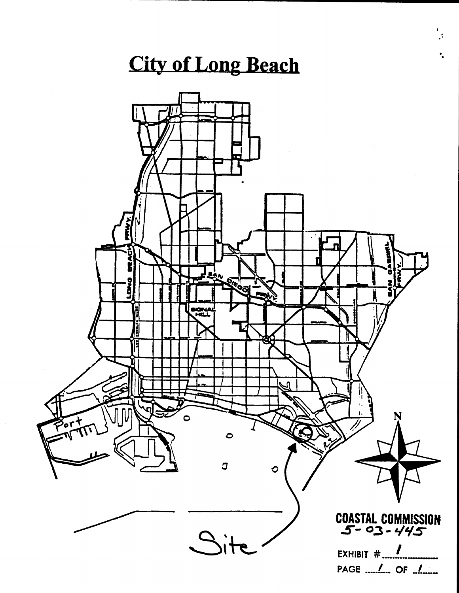# **City of Long Beach**

ĩ.  $\mathcal{Z}$ 

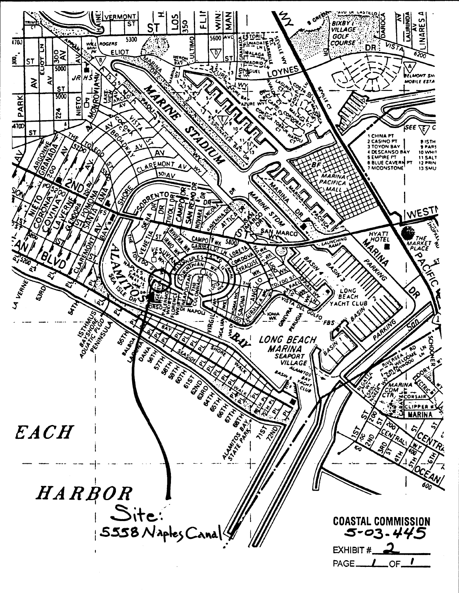